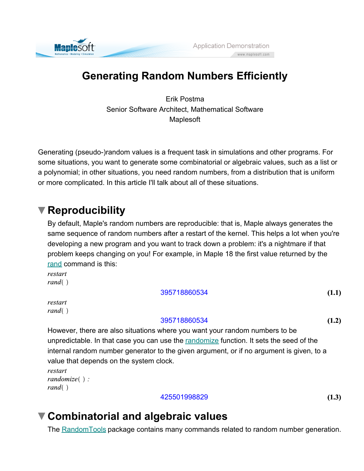

# **Generating Random Numbers Efficiently**

Erik Postma Senior Software Architect, Mathematical Software Maplesoft

Generating (pseudo-)random values is a frequent task in simulations and other programs. For some situations, you want to generate some combinatorial or algebraic values, such as a list or a polynomial; in other situations, you need random numbers, from a distribution that is uniform or more complicated. In this article I'll talk about all of these situations.

## **Reproducibility**

By default, Maple's random numbers are reproducible: that is, Maple always generates the same sequence of random numbers after a restart of the kernel. This helps a lot when you're developing a new program and you want to track down a problem: it's a nightmare if that problem keeps changing on you! For example, in Maple 18 the first value returned by the rand command is this:

restart  $rand( )$ 

### 395718860534

restart  $rand( )$ 

### 395718860534

**(1.2)**

**(1.1)**

However, there are also situations where you want your random numbers to be unpredictable. In that case you can use the randomize function. It sets the seed of the internal random number generator to the given argument, or if no argument is given, to a value that depends on the system clock.

```
restart
randomize( ):
rand( )
```
### 425501998829

**(1.3)**

# **Combinatorial and algebraic values**

The RandomTools package contains many commands related to random number generation.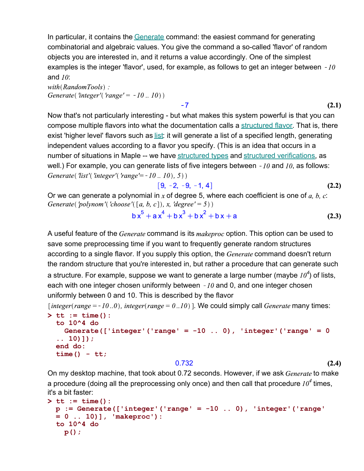In particular, it contains the Generate command: the easiest command for generating combinatorial and algebraic values. You give the command a so-called 'flavor' of random objects you are interested in, and it returns a value accordingly. One of the simplest examples is the integer 'flavor', used, for example, as follows to get an integer between  $-10$ and  $10$ :

 $-7$ 

 $with (RandomTools)$ : Generate('integer'('range' =  $-10$ .. 10))

Now that's not particularly interesting - but what makes this system powerful is that you can compose multiple flavors into what the documentation calls a structured flavor. That is, there exist 'higher level' flavors such as list: it will generate a list of a specified length, generating independent values according to a flavor you specify. (This is an idea that occurs in a number of situations in Maple -- we have structured types and structured verifications, as well.) For example, you can generate lists of five integers between  $-10$  and  $10$ , as follows: Generate('list'('integer'('range' =  $-10$ ... 10), 5))

$$
[9, -2, -9, -1, 4]
$$
 (2.2)

Or we can generate a polynomial in x of degree 5, where each coefficient is one of  $a, b, c$ : Generate('polynom'('choose'([a, b, c]), x, 'degree' = 5))

$$
bx^{5} + ax^{4} + bx^{3} + bx^{2} + bx + a
$$
 (2.3)

A useful feature of the *Generate* command is its *makeproc* option. This option can be used to save some preprocessing time if you want to frequently generate random structures according to a single flavor. If you supply this option, the *Generate* command doesn't return the random structure that you're interested in, but rather a procedure that can generate such

a structure. For example, suppose we want to generate a large number (maybe  $10<sup>4</sup>$ ) of lists, each with one integer chosen uniformly between  $-10$  and 0, and one integer chosen uniformly between 0 and 10. This is described by the flavor

```
[integer(range = -10..0), integer(range = 0..10)]. We could simply call Generate many times:
```

```
> 
tt := time():
 to 10^4 do
    Generate(['integer'('range' = -10 .. 0), 'integer'('range' = 0
  .. 10)]);
 end do:
 time() - tt;
```
#### 0.732

**(2.4)**

**(2.1)**

On my desktop machine, that took about 0.72 seconds. However, if we ask Generate to make a procedure (doing all the preprocessing only once) and then call that procedure  $I0^4$  times, it's a bit faster:

```
> 
tt := time():
 p := Generate(['integer'('range' = -10 .. 0), 'integer'('range' 
 = 0 .. 10)], 'makeproc'):
 to 10^4 do
    p();
```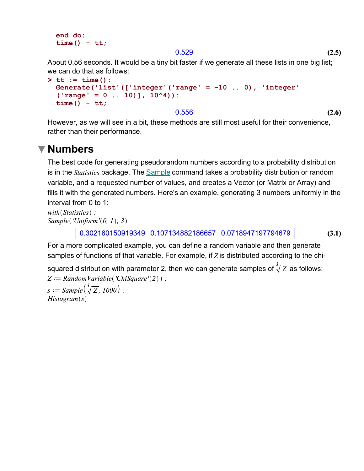```
end do:
time() - tt;
```
#### 0.529

About 0.56 seconds. It would be a tiny bit faster if we generate all these lists in one big list; we can do that as follows:

```
> 
tt := time():
 Generate('list'(['integer'('range' = -10 .. 0), 'integer'
  ('range' = 0 .. 10)], 10^4)):
 time() - tt;
```
0.556

**(2.6)**

However, as we will see in a bit, these methods are still most useful for their convenience, rather than their performance.

### **Numbers**

The best code for generating pseudorandom numbers according to a probability distribution is in the *Statistics* package. The **Sample command takes a probability distribution or random** variable, and a requested number of values, and creates a Vector (or Matrix or Array) and fills it with the generated numbers. Here's an example, generating 3 numbers uniformly in the interval from 0 to 1:

```
with (Statistics):
Sample('Uniform'(0, 1), 3)
```
 $\mid$  0.302160150919349 0.107134882186657 0.0718947197794679  $\mid$ 

**(3.1)**

For a more complicated example, you can define a random variable and then generate samples of functions of that variable. For example, if  $Z$  is distributed according to the chi-

```
squared distribution with parameter 2, then we can generate samples of \sqrt[3]{Z} as follows:
Z := RandomVariable( 'ChiSquare'(2) ) :s := Sample(\sqrt[3]{Z}, 1000):
Historyram(s)
```
**(2.5)**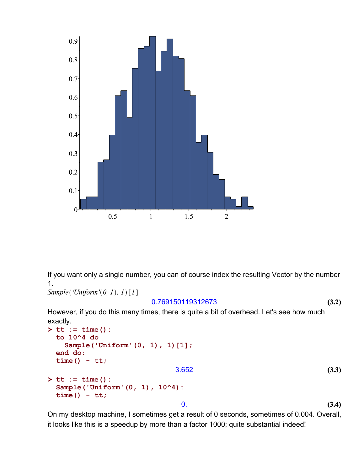

If you want only a single number, you can of course index the resulting Vector by the number 1.

```
Sample('Uniform'(0, 1), 1)[1]
```
### 0.769150119312673

**(3.2)**

However, if you do this many times, there is quite a bit of overhead. Let's see how much exactly.

```
(3.4)
                                                                         (3.3)
> 
tt := time():
> 
tt := time():
  to 10^4 do
     Sample('Uniform'(0, 1), 1)[1];
 end do:
  time() - tt;
                                 3.652
  Sample('Uniform'(0, 1), 10^4):
  time() - tt;
                                  0.
```
On my desktop machine, I sometimes get a result of 0 seconds, sometimes of 0.004. Overall, it looks like this is a speedup by more than a factor 1000; quite substantial indeed!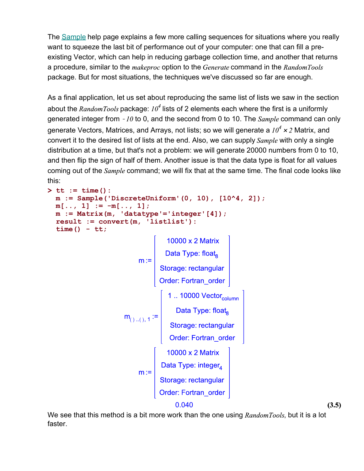The Sample help page explains a few more calling sequences for situations where you really want to squeeze the last bit of performance out of your computer: one that can fill a preexisting Vector, which can help in reducing garbage collection time, and another that returns a procedure, similar to the makeproc option to the Generate command in the RandomTools package. But for most situations, the techniques we've discussed so far are enough.

As a final application, let us set about reproducing the same list of lists we saw in the section about the *RandomTools* package:  $10^4$  lists of 2 elements each where the first is a uniformly generated integer from  $-10$  to 0, and the second from 0 to 10. The  $Sample$  command can only generate Vectors, Matrices, and Arrays, not lists; so we will generate a  $10^4 \times 2$  Matrix, and convert it to the desired list of lists at the end. Also, we can supply Sample with only a single distribution at a time, but that's not a problem: we will generate 20000 numbers from 0 to 10, and then flip the sign of half of them. Another issue is that the data type is float for all values coming out of the *Sample* command; we will fix that at the same time. The final code looks like this:

```
> 
tt := time():
     m := Sample('DiscreteUniform'(0, 10), [10^4, 2]);
     m[..., 1] := -m[..., 1];m := Matrix(m, 'datatype'='integer'[4]);
     result := convert(m, 'listlist'):
     time() - tt;
                                                      m := \left[ \begin{array}{c} \text{10000 x 2 Matrix} \\ \text{Data Type: float}_{8} \\ \text{Storage: rectangular \\ Order: Fortran\_order} \end{array} \right]<br>
m_{(\text{)},\text{ },\text{ }1} := \left[ \begin{array}{c} \text{1 .. 10000 Vector}_{\text{column}} \\ \text{Data Type: float}_{8} \\ \text{Storage: rectangular \\ \text{Order: Fortran\_order} \end{array} \right]0000 \times 2 Matrix
                                                                 m:=\left[\begin{array}{c} 10000 \times 2 \text{ Matrix} \\ \text{Data Type: integer}_4 \\ \text{Storage: rectangular \\ \text{Order: Fortran\_order} \end{array}\right]
```
0.040

**(3.5)**

We see that this method is a bit more work than the one using  $RandomTools$ , but it is a lot faster.